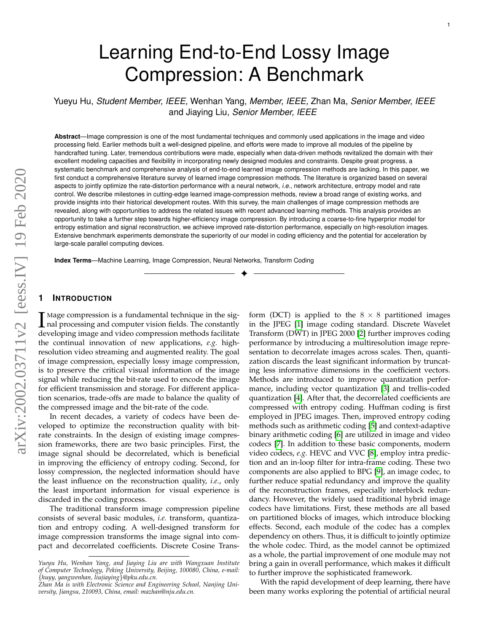# Learning End-to-End Lossy Image Compression: A Benchmark

Yueyu Hu, *Student Member, IEEE,* Wenhan Yang, *Member, IEEE,* Zhan Ma, *Senior Member, IEEE* and Jiaying Liu, *Senior Member, IEEE*

**Abstract**—Image compression is one of the most fundamental techniques and commonly used applications in the image and video processing field. Earlier methods built a well-designed pipeline, and efforts were made to improve all modules of the pipeline by handcrafted tuning. Later, tremendous contributions were made, especially when data-driven methods revitalized the domain with their excellent modeling capacities and flexibility in incorporating newly designed modules and constraints. Despite great progress, a systematic benchmark and comprehensive analysis of end-to-end learned image compression methods are lacking. In this paper, we first conduct a comprehensive literature survey of learned image compression methods. The literature is organized based on several aspects to jointly optimize the rate-distortion performance with a neural network, *i.e.*, network architecture, entropy model and rate control. We describe milestones in cutting-edge learned image-compression methods, review a broad range of existing works, and provide insights into their historical development routes. With this survey, the main challenges of image compression methods are revealed, along with opportunities to address the related issues with recent advanced learning methods. This analysis provides an opportunity to take a further step towards higher-efficiency image compression. By introducing a coarse-to-fine hyperprior model for entropy estimation and signal reconstruction, we achieve improved rate-distortion performance, especially on high-resolution images. Extensive benchmark experiments demonstrate the superiority of our model in coding efficiency and the potential for acceleration by large-scale parallel computing devices.

✦

**Index Terms**—Machine Learning, Image Compression, Neural Networks, Transform Coding

# **1 INTRODUCTION**

I Mage compression is a fundamental technique in the sig-<br>
and processing and computer vision fields. The constantly<br>
developing image and video compression methods facilitate nal processing and computer vision fields. The constantly developing image and video compression methods facilitate the continual innovation of new applications, *e.g.* highresolution video streaming and augmented reality. The goal of image compression, especially lossy image compression, is to preserve the critical visual information of the image signal while reducing the bit-rate used to encode the image for efficient transmission and storage. For different application scenarios, trade-offs are made to balance the quality of the compressed image and the bit-rate of the code.

In recent decades, a variety of codecs have been developed to optimize the reconstruction quality with bitrate constraints. In the design of existing image compression frameworks, there are two basic principles. First, the image signal should be decorrelated, which is beneficial in improving the efficiency of entropy coding. Second, for lossy compression, the neglected information should have the least influence on the reconstruction quality, *i.e.*, only the least important information for visual experience is discarded in the coding process.

The traditional transform image compression pipeline consists of several basic modules, *i.e.* transform, quantization and entropy coding. A well-designed transform for image compression transforms the image signal into compact and decorrelated coefficients. Discrete Cosine Trans-

form (DCT) is applied to the  $8 \times 8$  partitioned images in the JPEG [\[1\]](#page-13-0) image coding standard. Discrete Wavelet Transform (DWT) in JPEG 2000 [\[2\]](#page-13-1) further improves coding performance by introducing a multiresolution image representation to decorrelate images across scales. Then, quantization discards the least significant information by truncating less informative dimensions in the coefficient vectors. Methods are introduced to improve quantization performance, including vector quantization [\[3\]](#page-13-2) and trellis-coded quantization [\[4\]](#page-13-3). After that, the decorrelated coefficients are compressed with entropy coding. Huffman coding is first employed in JPEG images. Then, improved entropy coding methods such as arithmetic coding [\[5\]](#page-13-4) and context-adaptive binary arithmetic coding [\[6\]](#page-13-5) are utilized in image and video codecs [\[7\]](#page-13-6). In addition to these basic components, modern video codecs, *e.g.* HEVC and VVC [\[8\]](#page-13-7), employ intra prediction and an in-loop filter for intra-frame coding. These two components are also applied to BPG [\[9\]](#page-13-8), an image codec, to further reduce spatial redundancy and improve the quality of the reconstruction frames, especially interblock redundancy. However, the widely used traditional hybrid image codecs have limitations. First, these methods are all based on partitioned blocks of images, which introduce blocking effects. Second, each module of the codec has a complex dependency on others. Thus, it is difficult to jointly optimize the whole codec. Third, as the model cannot be optimized as a whole, the partial improvement of one module may not bring a gain in overall performance, which makes it difficult to further improve the sophisticated framework.

With the rapid development of deep learning, there have been many works exploring the potential of artificial neural

*Yueyu Hu, Wenhan Yang, and Jiaying Liu are with Wangxuan Institute of Computer Technology, Peking University, Beijing, 100080, China, e-mail:* {*huyy, yangwenhan, liujiaying*}*@pku.edu.cn.*

*Zhan Ma is with Electronic Science and Engineering School, Nanjing University, Jiangsu, 210093, China, email: mazhan@nju.edu.cn.*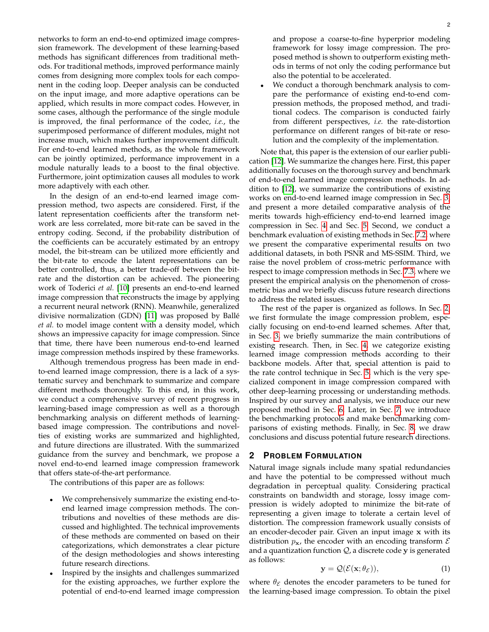networks to form an end-to-end optimized image compression framework. The development of these learning-based methods has significant differences from traditional methods. For traditional methods, improved performance mainly comes from designing more complex tools for each component in the coding loop. Deeper analysis can be conducted on the input image, and more adaptive operations can be applied, which results in more compact codes. However, in some cases, although the performance of the single module is improved, the final performance of the codec, *i.e.*, the superimposed performance of different modules, might not increase much, which makes further improvement difficult. For end-to-end learned methods, as the whole framework can be jointly optimized, performance improvement in a module naturally leads to a boost to the final objective. Furthermore, joint optimization causes all modules to work more adaptively with each other.

In the design of an end-to-end learned image compression method, two aspects are considered. First, if the latent representation coefficients after the transform network are less correlated, more bit-rate can be saved in the entropy coding. Second, if the probability distribution of the coefficients can be accurately estimated by an entropy model, the bit-stream can be utilized more efficiently and the bit-rate to encode the latent representations can be better controlled, thus, a better trade-off between the bitrate and the distortion can be achieved. The pioneering work of Toderici *et al.* [\[10\]](#page-13-9) presents an end-to-end learned image compression that reconstructs the image by applying a recurrent neural network (RNN). Meanwhile, generalized divisive normalization (GDN) [\[11\]](#page-13-10) was proposed by Balle´ *et al.* to model image content with a density model, which shows an impressive capacity for image compression. Since that time, there have been numerous end-to-end learned image compression methods inspired by these frameworks.

Although tremendous progress has been made in endto-end learned image compression, there is a lack of a systematic survey and benchmark to summarize and compare different methods thoroughly. To this end, in this work, we conduct a comprehensive survey of recent progress in learning-based image compression as well as a thorough benchmarking analysis on different methods of learningbased image compression. The contributions and novelties of existing works are summarized and highlighted, and future directions are illustrated. With the summarized guidance from the survey and benchmark, we propose a novel end-to-end learned image compression framework that offers state-of-the-art performance.

The contributions of this paper are as follows:

- We comprehensively summarize the existing end-toend learned image compression methods. The contributions and novelties of these methods are discussed and highlighted. The technical improvements of these methods are commented on based on their categorizations, which demonstrates a clear picture of the design methodologies and shows interesting future research directions.
- Inspired by the insights and challenges summarized for the existing approaches, we further explore the potential of end-to-end learned image compression

and propose a coarse-to-fine hyperprior modeling framework for lossy image compression. The proposed method is shown to outperform existing methods in terms of not only the coding performance but also the potential to be accelerated.

We conduct a thorough benchmark analysis to compare the performance of existing end-to-end compression methods, the proposed method, and traditional codecs. The comparison is conducted fairly from different perspectives, *i.e.* the rate-distortion performance on different ranges of bit-rate or resolution and the complexity of the implementation.

Note that, this paper is the extension of our earlier publication [\[12\]](#page-13-11). We summarize the changes here. First, this paper additionally focuses on the thorough survey and benchmark of end-to-end learned image compression methods. In addition to [\[12\]](#page-13-11), we summarize the contributions of existing works on end-to-end learned image compression in Sec. [3,](#page-2-0) and present a more detailed comparative analysis of the merits towards high-efficiency end-to-end learned image compression in Sec. [4](#page-4-0) and Sec. [5.](#page-6-0) Second, we conduct a benchmark evaluation of existing methods in Sec. [7.2,](#page-10-0) where we present the comparative experimental results on two additional datasets, in both PSNR and MS-SSIM. Third, we raise the novel problem of cross-metric performance with respect to image compression methods in Sec. [7.3,](#page-11-0) where we present the empirical analysis on the phenomenon of crossmetric bias and we briefly discuss future research directions to address the related issues.

The rest of the paper is organized as follows. In Sec. [2,](#page-1-0) we first formulate the image compression problem, especially focusing on end-to-end learned schemes. After that, in Sec. [3,](#page-2-0) we briefly summarize the main contributions of existing research. Then, in Sec. [4,](#page-4-0) we categorize existing learned image compression methods according to their backbone models. After that, special attention is paid to the rate control technique in Sec. [5,](#page-6-0) which is the very specialized component in image compression compared with other deep-learning processing or understanding methods. Inspired by our survey and analysis, we introduce our new proposed method in Sec. [6.](#page-7-0) Later, in Sec. [7,](#page-10-1) we introduce the benchmarking protocols and make benchmarking comparisons of existing methods. Finally, in Sec. [8,](#page-13-12) we draw conclusions and discuss potential future research directions.

# <span id="page-1-0"></span>**2 PROBLEM FORMULATION**

Natural image signals include many spatial redundancies and have the potential to be compressed without much degradation in perceptual quality. Considering practical constraints on bandwidth and storage, lossy image compression is widely adopted to minimize the bit-rate of representing a given image to tolerate a certain level of distortion. The compression framework usually consists of an encoder-decoder pair. Given an input image x with its distribution  $p_x$ , the encoder with an encoding transform  $\mathcal E$ and a quantization function  $Q$ , a discrete code y is generated as follows:

$$
\mathbf{y} = \mathcal{Q}(\mathcal{E}(\mathbf{x}; \theta_{\mathcal{E}})),\tag{1}
$$

where  $\theta_{\mathcal{E}}$  denotes the encoder parameters to be tuned for the learning-based image compression. To obtain the pixel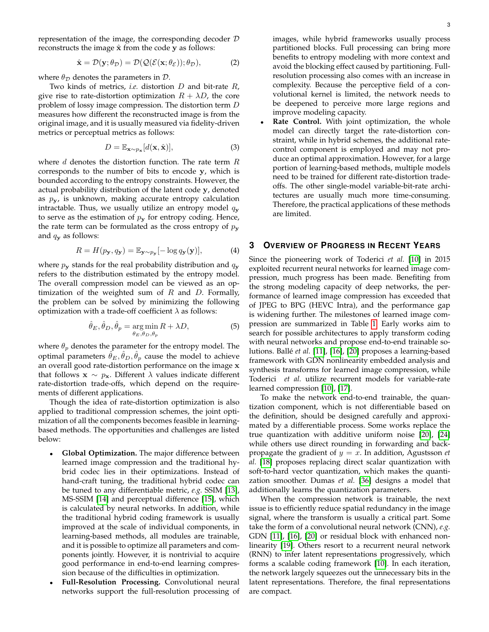representation of the image, the corresponding decoder D reconstructs the image  $\hat{x}$  from the code y as follows:

$$
\hat{\mathbf{x}} = \mathcal{D}(\mathbf{y}; \theta_{\mathcal{D}}) = \mathcal{D}(\mathcal{Q}(\mathcal{E}(\mathbf{x}; \theta_{\mathcal{E}})); \theta_{\mathcal{D}}),
$$
(2)

where  $\theta_{\mathcal{D}}$  denotes the parameters in  $\mathcal{D}$ .

Two kinds of metrics, *i.e.* distortion D and bit-rate R, give rise to rate-distortion optimization  $R + \lambda D$ , the core problem of lossy image compression. The distortion term D measures how different the reconstructed image is from the original image, and it is usually measured via fidelity-driven metrics or perceptual metrics as follows:

$$
D = \mathbb{E}_{\mathbf{x} \sim p_{\mathbf{x}}}[d(\mathbf{x}, \hat{\mathbf{x}})],\tag{3}
$$

where  $d$  denotes the distortion function. The rate term  $R$ corresponds to the number of bits to encode y, which is bounded according to the entropy constraints. However, the actual probability distribution of the latent code y, denoted as  $p_{y}$ , is unknown, making accurate entropy calculation intractable. Thus, we usually utilize an entropy model  $q_{\mathbf{v}}$ to serve as the estimation of  $p<sub>y</sub>$  for entropy coding. Hence, the rate term can be formulated as the cross entropy of  $p_{\mathbf{y}}$ and  $q_{\mathbf{y}}$  as follows:

$$
R = H(p_{\mathbf{y}}, q_{\mathbf{y}}) = \mathbb{E}_{\mathbf{y} \sim p_{\mathbf{y}}} [-\log q_{\mathbf{y}}(\mathbf{y})],\tag{4}
$$

where  $p_{\mathbf{y}}$  stands for the real probability distribution and  $q_{\mathbf{y}}$ refers to the distribution estimated by the entropy model. The overall compression model can be viewed as an optimization of the weighted sum of  $R$  and  $D$ . Formally, the problem can be solved by minimizing the following optimization with a trade-off coefficient  $\lambda$  as follows:

$$
\hat{\theta}_E, \hat{\theta}_D, \hat{\theta}_p = \underset{\theta_E, \theta_D, \theta_p}{\arg \min} R + \lambda D,\tag{5}
$$

where  $\theta_p$  denotes the parameter for the entropy model. The optimal parameters  $\hat{\theta}_E, \hat{\theta}_D, \hat{\theta}_p$  cause the model to achieve an overall good rate-distortion performance on the image x that follows  $\mathbf{x} \sim p_{\mathbf{x}}$ . Different  $\lambda$  values indicate different rate-distortion trade-offs, which depend on the requirements of different applications.

Though the idea of rate-distortion optimization is also applied to traditional compression schemes, the joint optimization of all the components becomes feasible in learningbased methods. The opportunities and challenges are listed below:

- **Global Optimization.** The major difference between learned image compression and the traditional hybrid codec lies in their optimizations. Instead of hand-craft tuning, the traditional hybrid codec can be tuned to any differentiable metric, *e.g.* SSIM [\[13\]](#page-13-13), MS-SSIM [\[14\]](#page-14-0) and perceptual difference [\[15\]](#page-14-1), which is calculated by neural networks. In addition, while the traditional hybrid coding framework is usually improved at the scale of individual components, in learning-based methods, all modules are trainable, and it is possible to optimize all parameters and components jointly. However, it is nontrivial to acquire good performance in end-to-end learning compression because of the difficulties in optimization.
- **Full-Resolution Processing.** Convolutional neural networks support the full-resolution processing of

images, while hybrid frameworks usually process partitioned blocks. Full processing can bring more benefits to entropy modeling with more context and avoid the blocking effect caused by partitioning. Fullresolution processing also comes with an increase in complexity. Because the perceptive field of a convolutional kernel is limited, the network needs to be deepened to perceive more large regions and improve modeling capacity.

Rate Control. With joint optimization, the whole model can directly target the rate-distortion constraint, while in hybrid schemes, the additional ratecontrol component is employed and may not produce an optimal approximation. However, for a large portion of learning-based methods, multiple models need to be trained for different rate-distortion tradeoffs. The other single-model variable-bit-rate architectures are usually much more time-consuming. Therefore, the practical applications of these methods are limited.

# <span id="page-2-0"></span>**3 OVERVIEW OF PROGRESS IN RECENT YEARS**

Since the pioneering work of Toderici *et al.* [\[10\]](#page-13-9) in 2015 exploited recurrent neural networks for learned image compression, much progress has been made. Benefiting from the strong modeling capacity of deep networks, the performance of learned image compression has exceeded that of JPEG to BPG (HEVC Intra), and the performance gap is widening further. The milestones of learned image compression are summarized in Table [1.](#page-3-0) Early works aim to search for possible architectures to apply transform coding with neural networks and propose end-to-end trainable solutions. Ballé *et al.* [\[11\]](#page-13-10), [\[16\]](#page-14-2), [\[20\]](#page-14-3) proposes a learning-based framework with GDN nonlinearity embedded analysis and synthesis transforms for learned image compression, while Toderici *et al.* utilize recurrent models for variable-rate learned compression [\[10\]](#page-13-9), [\[17\]](#page-14-4).

To make the network end-to-end trainable, the quantization component, which is not differentiable based on the definition, should be designed carefully and approximated by a differentiable process. Some works replace the true quantization with additive uniform noise [\[20\]](#page-14-3), [\[24\]](#page-14-5) while others use direct rounding in forwarding and backpropagate the gradient of  $y = x$ . In addition, Agustsson *et al.* [\[18\]](#page-14-6) proposes replacing direct scalar quantization with soft-to-hard vector quantization, which makes the quantization smoother. Dumas *et al.* [\[36\]](#page-14-7) designs a model that additionally learns the quantization parameters.

When the compression network is trainable, the next issue is to efficiently reduce spatial redundancy in the image signal, where the transform is usually a critical part. Some take the form of a convolutional neural network (CNN), *e.g.* GDN [\[11\]](#page-13-10), [\[16\]](#page-14-2), [\[20\]](#page-14-3) or residual block with enhanced nonlinearity [\[19\]](#page-14-8). Others resort to a recurrent neural network (RNN) to infer latent representations progressively, which forms a scalable coding framework [\[10\]](#page-13-9). In each iteration, the network largely squeezes out the unnecessary bits in the latent representations. Therefore, the final representations are compact.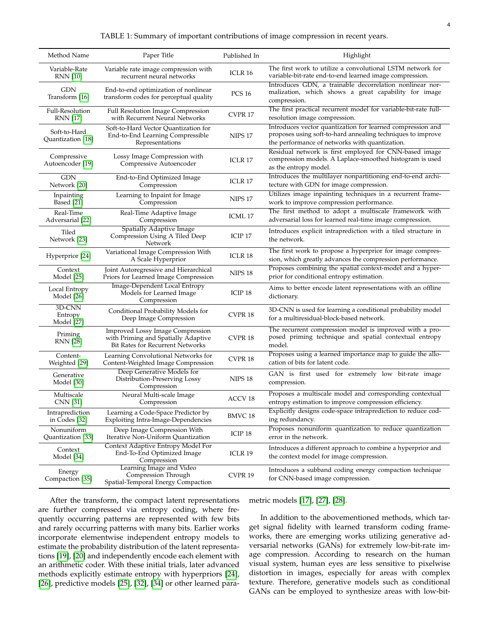| TABLE 1: Summary of important contributions of image compression in recent years. |  |  |  |  |
|-----------------------------------------------------------------------------------|--|--|--|--|
|                                                                                   |  |  |  |  |
|                                                                                   |  |  |  |  |

<span id="page-3-0"></span>

| Method Name                       | Paper Title                                                                                                        | Published In       | Highlight                                                                                                                                                                   |
|-----------------------------------|--------------------------------------------------------------------------------------------------------------------|--------------------|-----------------------------------------------------------------------------------------------------------------------------------------------------------------------------|
| Variable-Rate<br><b>RNN</b> [10]  | Variable rate image compression with<br>recurrent neural networks                                                  | ICLR 16            | The first work to utilize a convolutional LSTM network for<br>variable-bit-rate end-to-end learned image compression.                                                       |
| GDN<br>Transform [16]             | End-to-end optimization of nonlinear<br>transform codes for perceptual quality                                     | <b>PCS 16</b>      | Introduces GDN, a trainable decorrelation nonlinear nor-<br>malization, which shows a great capability for image<br>compression.                                            |
| Full-Resolution<br>RNN [17]       | <b>Full Resolution Image Compression</b><br>with Recurrent Neural Networks                                         | CVPR 17            | The first practical recurrent model for variable-bit-rate full-<br>resolution image compression.                                                                            |
| Soft-to-Hard<br>Quantization [18] | Soft-to-Hard Vector Quantization for<br>End-to-End Learning Compressible<br>Representations                        | <b>NIPS 17</b>     | Introduces vector quantization for learned compression and<br>proposes using soft-to-hard annealing techniques to improve<br>the performance of networks with quantization. |
| Compressive<br>Autoencoder [19]   | Lossy Image Compression with<br>Compressive Autoencoder                                                            | ICLR 17            | Residual network is first employed for CNN-based image<br>compression models. A Laplace-smoothed histogram is used<br>as the entropy model.                                 |
| GDN<br>Network [20]               | End-to-End Optimized Image<br>Compression                                                                          | ICLR <sub>17</sub> | Introduces the multilayer nonpartitioning end-to-end archi-<br>tecture with GDN for image compression.                                                                      |
| Inpainting<br>Based [21]          | Learning to Inpaint for Image<br>Compression                                                                       | <b>NIPS 17</b>     | Utilizes image inpainting techniques in a recurrent frame-<br>work to improve compression performance.                                                                      |
| Real-Time<br>Adversarial [22]     | Real-Time Adaptive Image<br>Compression                                                                            | ICML 17            | The first method to adopt a multiscale framework with<br>adversarial loss for learned real-time image compression.                                                          |
| Tiled<br>Network [23]             | <b>Spatially Adaptive Image</b><br>Compression Using A Tiled Deep<br>Network                                       | ICIP <sub>17</sub> | Introduces explicit intraprediction with a tiled structure in<br>the network.                                                                                               |
| Hyperprior [24]                   | Variational Image Compression With<br>A Scale Hyperprior                                                           | <b>ICLR 18</b>     | The first work to propose a hyperprior for image compres-<br>sion, which greatly advances the compression performance.                                                      |
| Context<br>Model [25]             | Joint Autoregressive and Hierarchical<br>Priors for Learned Image Compression                                      | <b>NIPS 18</b>     | Proposes combining the spatial context-model and a hyper-<br>prior for conditional entropy estimation.                                                                      |
| Local Entropy<br>Model [26]       | <b>Image-Dependent Local Entropy</b><br>Models for Learned Image<br>Compression                                    | ICIP <sub>18</sub> | Aims to better encode latent representations with an offline<br>dictionary.                                                                                                 |
| 3D-CNN<br>Entropy<br>Model [27]   | Conditional Probability Models for<br>Deep Image Compression                                                       | CVPR <sub>18</sub> | 3D-CNN is used for learning a conditional probability model<br>for a multiresidual-block-based network.                                                                     |
| Priming<br><b>RNN</b> [28]        | <b>Improved Lossy Image Compression</b><br>with Priming and Spatially Adaptive<br>Bit Rates for Recurrent Networks | CVPR 18            | The recurrent compression model is improved with a pro-<br>posed priming technique and spatial contextual entropy<br>model.                                                 |
| Content-<br>Weighted [29]         | Learning Convolutional Networks for<br>Content-Weighted Image Compression                                          | CVPR <sub>18</sub> | Proposes using a learned importance map to guide the allo-<br>cation of bits for latent code.                                                                               |
| Generative<br>Model [30]          | Deep Generative Models for<br>Distribution-Preserving Lossy<br>Compression                                         | <b>NIPS 18</b>     | GAN is first used for extremely low bit-rate image<br>compression.                                                                                                          |
| Multiscale<br>CNN [31]            | Neural Multi-scale Image<br>Compression                                                                            | ACCV <sub>18</sub> | Proposes a multiscale model and corresponding contextual<br>entropy estimation to improve compression efficiency.                                                           |
| Intraprediction<br>in Codes [32]  | Learning a Code-Space Predictor by<br><b>Exploiting Intra-Image-Dependencies</b>                                   | BMVC 18            | Explicitly designs code-space intraprediction to reduce cod-<br>ing redundancy.                                                                                             |
| Nonuniform<br>Quantization [33]   | Deep Image Compression With<br>Iterative Non-Uniform Quantization                                                  | ICIP 18            | Proposes nonuniform quantization to reduce quantization<br>error in the network.                                                                                            |
| Context<br>Model [34]             | Context Adaptive Entropy Model For<br>End-To-End Optimized Image<br>Compression                                    | ICLR 19            | Introduces a different approach to combine a hyperprior and<br>the context model for image compression.                                                                     |
| Energy<br>Compaction [35]         | Learning Image and Video<br>Compression Through<br>Spatial-Temporal Energy Compaction                              | CVPR 19            | Introduces a subband coding energy compaction technique<br>for CNN-based image compression.                                                                                 |

After the transform, the compact latent representations are further compressed via entropy coding, where frequently occurring patterns are represented with few bits and rarely occurring patterns with many bits. Earlier works incorporate elementwise independent entropy models to estimate the probability distribution of the latent representations [\[19\]](#page-14-8), [\[20\]](#page-14-3) and independently encode each element with an arithmetic coder. With these initial trials, later advanced methods explicitly estimate entropy with hyperpriors [\[24\]](#page-14-5), [\[26\]](#page-14-13), predictive models [\[25\]](#page-14-12), [\[32\]](#page-14-19), [\[34\]](#page-14-21) or other learned para-

#### metric models [\[17\]](#page-14-4), [\[27\]](#page-14-14), [\[28\]](#page-14-15).

In addition to the abovementioned methods, which target signal fidelity with learned transform coding frameworks, there are emerging works utilizing generative adversarial networks (GANs) for extremely low-bit-rate image compression. According to research on the human visual system, human eyes are less sensitive to pixelwise distortion in images, especially for areas with complex texture. Therefore, generative models such as conditional GANs can be employed to synthesize areas with low-bit-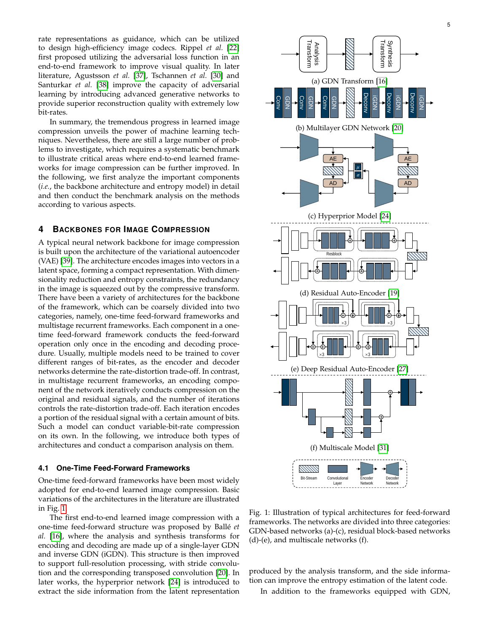rate representations as guidance, which can be utilized to design high-efficiency image codecs. Rippel *et al.* [\[22\]](#page-14-10) first proposed utilizing the adversarial loss function in an end-to-end framework to improve visual quality. In later literature, Agustsson *et al.* [\[37\]](#page-14-23), Tschannen *et al.* [\[30\]](#page-14-17) and Santurkar *et al.* [\[38\]](#page-14-24) improve the capacity of adversarial learning by introducing advanced generative networks to provide superior reconstruction quality with extremely low bit-rates.

In summary, the tremendous progress in learned image compression unveils the power of machine learning techniques. Nevertheless, there are still a large number of problems to investigate, which requires a systematic benchmark to illustrate critical areas where end-to-end learned frameworks for image compression can be further improved. In the following, we first analyze the important components (*i.e.*, the backbone architecture and entropy model) in detail and then conduct the benchmark analysis on the methods according to various aspects.

# <span id="page-4-0"></span>**4 BACKBONES FOR IMAGE COMPRESSION**

A typical neural network backbone for image compression is built upon the architecture of the variational autoencoder (VAE) [\[39\]](#page-14-25). The architecture encodes images into vectors in a latent space, forming a compact representation. With dimensionality reduction and entropy constraints, the redundancy in the image is squeezed out by the compressive transform. There have been a variety of architectures for the backbone of the framework, which can be coarsely divided into two categories, namely, one-time feed-forward frameworks and multistage recurrent frameworks. Each component in a onetime feed-forward framework conducts the feed-forward operation only once in the encoding and decoding procedure. Usually, multiple models need to be trained to cover different ranges of bit-rates, as the encoder and decoder networks determine the rate-distortion trade-off. In contrast, in multistage recurrent frameworks, an encoding component of the network iteratively conducts compression on the original and residual signals, and the number of iterations controls the rate-distortion trade-off. Each iteration encodes a portion of the residual signal with a certain amount of bits. Such a model can conduct variable-bit-rate compression on its own. In the following, we introduce both types of architectures and conduct a comparison analysis on them.

# **4.1 One-Time Feed-Forward Frameworks**

One-time feed-forward frameworks have been most widely adopted for end-to-end learned image compression. Basic variations of the architectures in the literature are illustrated in Fig. [1.](#page-4-1)

The first end-to-end learned image compression with a one-time feed-forward structure was proposed by Balle´ *et al.* [\[16\]](#page-14-2), where the analysis and synthesis transforms for encoding and decoding are made up of a single-layer GDN and inverse GDN (iGDN). This structure is then improved to support full-resolution processing, with stride convolution and the corresponding transposed convolution [\[20\]](#page-14-3). In later works, the hyperprior network [\[24\]](#page-14-5) is introduced to

<span id="page-4-1"></span>

Fig. 1: Illustration of typical architectures for feed-forward frameworks. The networks are divided into three categories: GDN-based networks (a)-(c), residual block-based networks  $(d)-(e)$ , and multiscale networks  $(f)$ .

produced by the analysis transform, and the side information can improve the entropy estimation of the latent code.

In addition to the frameworks equipped with GDN,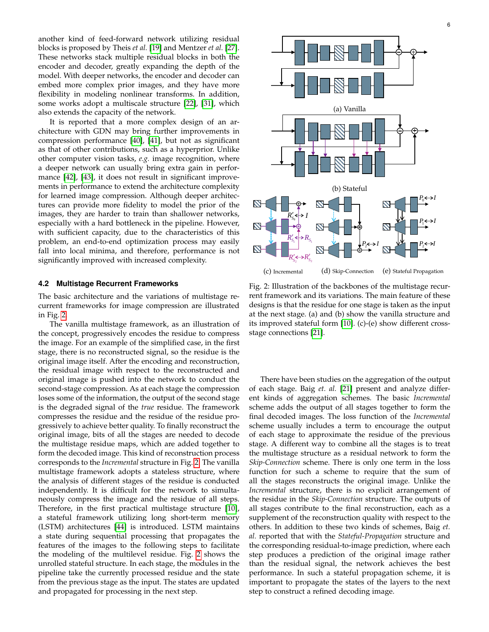another kind of feed-forward network utilizing residual blocks is proposed by Theis *et al.* [\[19\]](#page-14-8) and Mentzer *et al.* [\[27\]](#page-14-14). These networks stack multiple residual blocks in both the encoder and decoder, greatly expanding the depth of the model. With deeper networks, the encoder and decoder can embed more complex prior images, and they have more flexibility in modeling nonlinear transforms. In addition, some works adopt a multiscale structure [\[22\]](#page-14-10), [\[31\]](#page-14-18), which also extends the capacity of the network.

It is reported that a more complex design of an architecture with GDN may bring further improvements in compression performance [\[40\]](#page-14-26), [\[41\]](#page-14-27), but not as significant as that of other contributions, such as a hyperprior. Unlike other computer vision tasks, *e.g.* image recognition, where a deeper network can usually bring extra gain in perfor-mance [\[42\]](#page-14-28), [\[43\]](#page-14-29), it does not result in significant improvements in performance to extend the architecture complexity for learned image compression. Although deeper architectures can provide more fidelity to model the prior of the images, they are harder to train than shallower networks, especially with a hard bottleneck in the pipeline. However, with sufficient capacity, due to the characteristics of this problem, an end-to-end optimization process may easily fall into local minima, and therefore, performance is not significantly improved with increased complexity.

#### **4.2 Multistage Recurrent Frameworks**

The basic architecture and the variations of multistage recurrent frameworks for image compression are illustrated in Fig. [2.](#page-5-0)

The vanilla multistage framework, as an illustration of the concept, progressively encodes the residue to compress the image. For an example of the simplified case, in the first stage, there is no reconstructed signal, so the residue is the original image itself. After the encoding and reconstruction, the residual image with respect to the reconstructed and original image is pushed into the network to conduct the second-stage compression. As at each stage the compression loses some of the information, the output of the second stage is the degraded signal of the *true* residue. The framework compresses the residue and the residue of the residue progressively to achieve better quality. To finally reconstruct the original image, bits of all the stages are needed to decode the multistage residue maps, which are added together to form the decoded image. This kind of reconstruction process corresponds to the *Incremental* structure in Fig. [2.](#page-5-0) The vanilla multistage framework adopts a stateless structure, where the analysis of different stages of the residue is conducted independently. It is difficult for the network to simultaneously compress the image and the residue of all steps. Therefore, in the first practical multistage structure [\[10\]](#page-13-9), a stateful framework utilizing long short-term memory (LSTM) architectures [\[44\]](#page-14-30) is introduced. LSTM maintains a state during sequential processing that propagates the features of the images to the following steps to facilitate the modeling of the multilevel residue. Fig. [2](#page-5-0) shows the unrolled stateful structure. In each stage, the modules in the pipeline take the currently processed residue and the state from the previous stage as the input. The states are updated and propagated for processing in the next step.

<span id="page-5-0"></span>

Fig. 2: Illustration of the backbones of the multistage recurrent framework and its variations. The main feature of these designs is that the residue for one stage is taken as the input at the next stage. (a) and (b) show the vanilla structure and its improved stateful form [\[10\]](#page-13-9). (c)-(e) show different crossstage connections [\[21\]](#page-14-9).

There have been studies on the aggregation of the output of each stage. Baig *et. al.* [\[21\]](#page-14-9) present and analyze different kinds of aggregation schemes. The basic *Incremental* scheme adds the output of all stages together to form the final decoded images. The loss function of the *Incremental* scheme usually includes a term to encourage the output of each stage to approximate the residue of the previous stage. A different way to combine all the stages is to treat the multistage structure as a residual network to form the *Skip-Connection* scheme. There is only one term in the loss function for such a scheme to require that the sum of all the stages reconstructs the original image. Unlike the *Incremental* structure, there is no explicit arrangement of the residue in the *Skip-Connection* structure. The outputs of all stages contribute to the final reconstruction, each as a supplement of the reconstruction quality with respect to the others. In addition to these two kinds of schemes, Baig *et. al.* reported that with the *Stateful-Propagation* structure and the corresponding residual-to-image prediction, where each step produces a prediction of the original image rather than the residual signal, the network achieves the best performance. In such a stateful propagation scheme, it is important to propagate the states of the layers to the next step to construct a refined decoding image.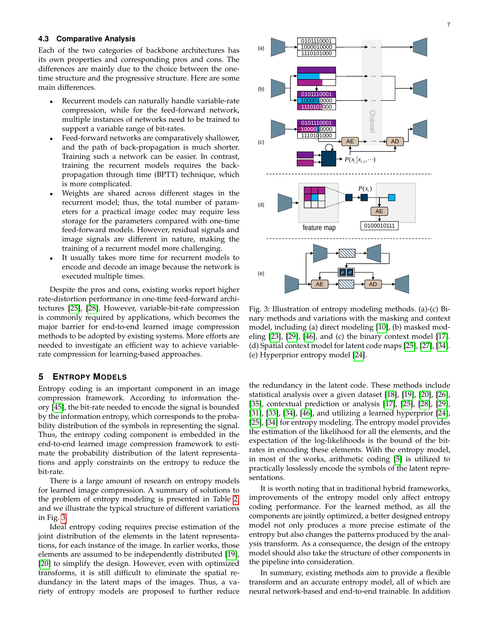#### **4.3 Comparative Analysis**

Each of the two categories of backbone architectures has its own properties and corresponding pros and cons. The differences are mainly due to the choice between the onetime structure and the progressive structure. Here are some main differences.

- Recurrent models can naturally handle variable-rate compression, while for the feed-forward network, multiple instances of networks need to be trained to support a variable range of bit-rates.
- Feed-forward networks are comparatively shallower, and the path of back-propagation is much shorter. Training such a network can be easier. In contrast, training the recurrent models requires the backpropagation through time (BPTT) technique, which is more complicated.
- Weights are shared across different stages in the recurrent model; thus, the total number of parameters for a practical image codec may require less storage for the parameters compared with one-time feed-forward models. However, residual signals and image signals are different in nature, making the training of a recurrent model more challenging.
- It usually takes more time for recurrent models to encode and decode an image because the network is executed multiple times.

Despite the pros and cons, existing works report higher rate-distortion performance in one-time feed-forward architectures [\[25\]](#page-14-12), [\[28\]](#page-14-15). However, variable-bit-rate compression is commonly required by applications, which becomes the major barrier for end-to-end learned image compression methods to be adopted by existing systems. More efforts are needed to investigate an efficient way to achieve variablerate compression for learning-based approaches.

# <span id="page-6-0"></span>**5 ENTROPY MODELS**

Entropy coding is an important component in an image compression framework. According to information theory [\[45\]](#page-14-31), the bit-rate needed to encode the signal is bounded by the information entropy, which corresponds to the probability distribution of the symbols in representing the signal. Thus, the entropy coding component is embedded in the end-to-end learned image compression framework to estimate the probability distribution of the latent representations and apply constraints on the entropy to reduce the bit-rate.

There is a large amount of research on entropy models for learned image compression. A summary of solutions to the problem of entropy modeling is presented in Table [2,](#page-7-1) and we illustrate the typical structure of different variations in Fig. [3.](#page-6-1)

Ideal entropy coding requires precise estimation of the joint distribution of the elements in the latent representations, for each instance of the image. In earlier works, those elements are assumed to be independently distributed [\[19\]](#page-14-8), [\[20\]](#page-14-3) to simplify the design. However, even with optimized transforms, it is still difficult to eliminate the spatial redundancy in the latent maps of the images. Thus, a variety of entropy models are proposed to further reduce

<span id="page-6-1"></span>

Fig. 3: Illustration of entropy modeling methods. (a)-(c) Binary methods and variations with the masking and context model, including (a) direct modeling [\[10\]](#page-13-9), (b) masked modeling [\[23\]](#page-14-11), [\[29\]](#page-14-16), [\[46\]](#page-14-32), and (c) the binary context model [\[17\]](#page-14-4). (d) Spatial context model for latent code maps [\[25\]](#page-14-12), [\[27\]](#page-14-14), [\[34\]](#page-14-21). (e) Hyperprior entropy model [\[24\]](#page-14-5).

the redundancy in the latent code. These methods include statistical analysis over a given dataset [\[18\]](#page-14-6), [\[19\]](#page-14-8), [\[20\]](#page-14-3), [\[26\]](#page-14-13), [\[35\]](#page-14-22), contextual prediction or analysis [\[17\]](#page-14-4), [\[25\]](#page-14-12), [\[28\]](#page-14-15), [\[29\]](#page-14-16), [\[31\]](#page-14-18), [\[33\]](#page-14-20), [\[34\]](#page-14-21), [\[46\]](#page-14-32), and utilizing a learned hyperprior [\[24\]](#page-14-5), [\[25\]](#page-14-12), [\[34\]](#page-14-21) for entropy modeling. The entropy model provides the estimation of the likelihood for all the elements, and the expectation of the log-likelihoods is the bound of the bitrates in encoding these elements. With the entropy model, in most of the works, arithmetic coding [\[5\]](#page-13-4) is utilized to practically losslessly encode the symbols of the latent representations.

It is worth noting that in traditional hybrid frameworks, improvements of the entropy model only affect entropy coding performance. For the learned method, as all the components are jointly optimized, a better designed entropy model not only produces a more precise estimate of the entropy but also changes the patterns produced by the analysis transform. As a consequence, the design of the entropy model should also take the structure of other components in the pipeline into consideration.

In summary, existing methods aim to provide a flexible transform and an accurate entropy model, all of which are neural network-based and end-to-end trainable. In addition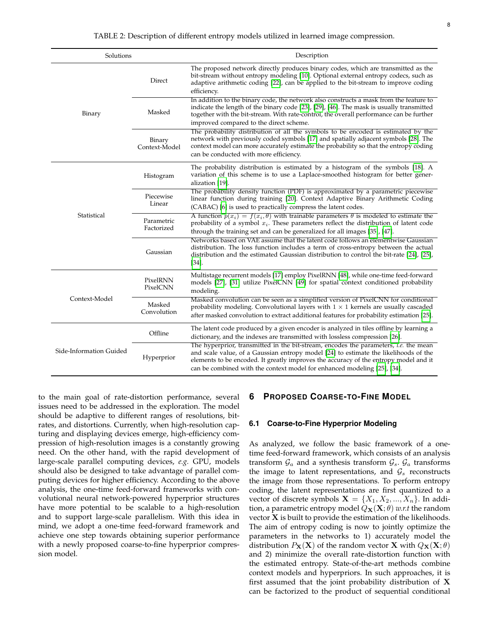<span id="page-7-1"></span>

| Solutions               |                          | Description                                                                                                                                                                                                                                                                                                                                             |  |  |
|-------------------------|--------------------------|---------------------------------------------------------------------------------------------------------------------------------------------------------------------------------------------------------------------------------------------------------------------------------------------------------------------------------------------------------|--|--|
|                         | Direct                   | The proposed network directly produces binary codes, which are transmitted as the<br>bit-stream without entropy modeling [10]. Optional external entropy codecs, such as<br>adaptive arithmetic coding [22], can be applied to the bit-stream to improve coding<br>efficiency.                                                                          |  |  |
| Binary                  | Masked                   | In addition to the binary code, the network also constructs a mask from the feature to<br>indicate the length of the binary code [23], [29], [46]. The mask is usually transmitted<br>together with the bit-stream. With rate-control, the overall performance can be further                                                                           |  |  |
|                         | Binary<br>Context-Model  | improved compared to the direct scheme.<br>The probability distribution of all the symbols to be encoded is estimated by the<br>network with previously coded symbols [17] and spatially adjacent symbols [28]. The<br>context model can more accurately estimate the probability so that the entropy coding<br>can be conducted with more efficiency.  |  |  |
|                         | Histogram                | The probability distribution is estimated by a histogram of the symbols [18]. A<br>variation of this scheme is to use a Laplace-smoothed histogram for better gener-<br>alization [19].                                                                                                                                                                 |  |  |
|                         | Piecewise<br>Linear      | The probability density function (PDF) is approximated by a parametric piecewise<br>linear function during training [20]. Context Adaptive Binary Arithmetic Coding<br>(CABAC) [6] is used to practically compress the latent codes.                                                                                                                    |  |  |
| Statistical             | Parametric<br>Factorized | A function $p(x_i) = f(x_i, \theta)$ with trainable parameters $\theta$ is modeled to estimate the<br>probability of a symbol $x_i$ . These parameters reflect the distribution of latent code<br>through the training set and can be generalized for all images [35], [47].                                                                            |  |  |
|                         | Gaussian                 | Networks based on VAE assume that the latent code follows an elementwise Gaussian<br>distribution. The loss function includes a term of cross-entropy between the actual<br>distribution and the estimated Gaussian distribution to control the bit-rate [24], [25],<br>$[34]$                                                                          |  |  |
|                         | PixelRNN<br>PixelCNN     | Multistage recurrent models [17] employ PixelRNN [48], while one-time feed-forward<br>models [27], [31] utilize PixelCNN [49] for spatial context conditioned probability<br>modeling.                                                                                                                                                                  |  |  |
| Context-Model           | Masked<br>Convolution    | Masked convolution can be seen as a simplified version of PixelCNN for conditional<br>probability modeling. Convolutional layers with $1 \times 1$ kernels are usually cascaded<br>after masked convolution to extract additional features for probability estimation [25].                                                                             |  |  |
|                         | Offline                  | The latent code produced by a given encoder is analyzed in tiles offline by learning a<br>dictionary, and the indexes are transmitted with lossless compression [26].                                                                                                                                                                                   |  |  |
| Side-Information Guided | Hyperprior               | The hyperprior, transmitted in the bit-stream, encodes the parameters, <i>i.e.</i> the mean<br>and scale value, of a Gaussian entropy model [24] to estimate the likelihoods of the<br>elements to be encoded. It greatly improves the accuracy of the entropy model and it<br>can be combined with the context model for enhanced modeling [25], [34]. |  |  |

to the main goal of rate-distortion performance, several issues need to be addressed in the exploration. The model should be adaptive to different ranges of resolutions, bitrates, and distortions. Currently, when high-resolution capturing and displaying devices emerge, high-efficiency compression of high-resolution images is a constantly growing need. On the other hand, with the rapid development of large-scale parallel computing devices, *e.g.* GPU, models should also be designed to take advantage of parallel computing devices for higher efficiency. According to the above analysis, the one-time feed-forward frameworks with convolutional neural network-powered hyperprior structures have more potential to be scalable to a high-resolution and to support large-scale parallelism. With this idea in mind, we adopt a one-time feed-forward framework and achieve one step towards obtaining superior performance with a newly proposed coarse-to-fine hyperprior compression model.

# <span id="page-7-0"></span>**6 PROPOSED COARSE-TO-FINE MODEL**

#### **6.1 Coarse-to-Fine Hyperprior Modeling**

As analyzed, we follow the basic framework of a onetime feed-forward framework, which consists of an analysis transform  $\mathcal{G}_a$  and a synthesis transform  $\mathcal{G}_s$ .  $\mathcal{G}_a$  transforms the image to latent representations, and  $\mathcal{G}_s$  reconstructs the image from those representations. To perform entropy coding, the latent representations are first quantized to a vector of discrete symbols  $X = \{X_1, X_2, ..., X_n\}$ . In addition, a parametric entropy model  $Q_{\mathbf{X}}(\mathbf{X}; \theta)$  *w.r.t* the random vector  $X$  is built to provide the estimation of the likelihoods. The aim of entropy coding is now to jointly optimize the parameters in the networks to 1) accurately model the distribution  $P_{\mathbf{X}}(\mathbf{X})$  of the random vector **X** with  $Q_{\mathbf{X}}(\mathbf{X}; \theta)$ and 2) minimize the overall rate-distortion function with the estimated entropy. State-of-the-art methods combine context models and hyperpriors. In such approaches, it is first assumed that the joint probability distribution of  $X$ can be factorized to the product of sequential conditional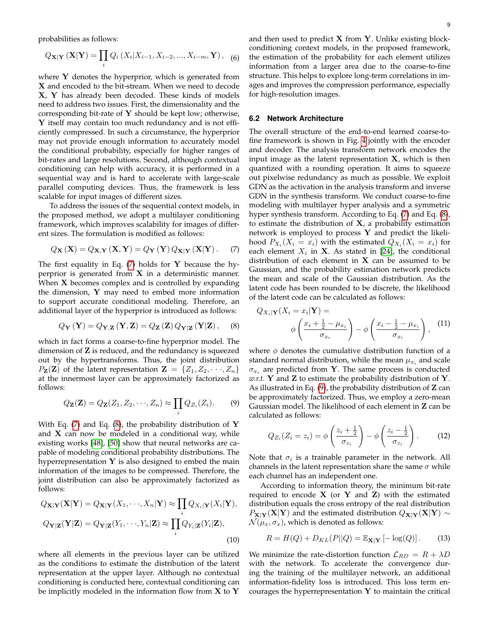probabilities as follows:

$$
Q_{\mathbf{X}|\mathbf{Y}}(\mathbf{X}|\mathbf{Y}) = \prod_{i} Q_i(X_i|X_{i-1}, X_{i-2}, ..., X_{i-m}, \mathbf{Y}), \quad (6)
$$

where  $Y$  denotes the hyperprior, which is generated from X and encoded to the bit-stream. When we need to decode X, Y has already been decoded. These kinds of models need to address two issues. First, the dimensionality and the corresponding bit-rate of  $Y$  should be kept low; otherwise, **Y** itself may contain too much redundancy and is not efficiently compressed. In such a circumstance, the hyperprior may not provide enough information to accurately model the conditional probability, especially for higher ranges of bit-rates and large resolutions. Second, although contextual conditioning can help with accuracy, it is performed in a sequential way and is hard to accelerate with large-scale parallel computing devices. Thus, the framework is less scalable for input images of different sizes.

To address the issues of the sequential context models, in the proposed method, we adopt a multilayer conditioning framework, which improves scalability for images of different sizes. The formulation is modified as follows:

<span id="page-8-0"></span>
$$
Q_{\mathbf{X}}(\mathbf{X}) = Q_{\mathbf{X}, \mathbf{Y}}(\mathbf{X}, \mathbf{Y}) = Q_{\mathbf{Y}}(\mathbf{Y}) Q_{\mathbf{X}|\mathbf{Y}}(\mathbf{X}|\mathbf{Y}). \tag{7}
$$

The first equality in Eq.  $(7)$  holds for Y because the hyperprior is generated from  $X$  in a deterministic manner. When  $X$  becomes complex and is controlled by expanding the dimension,  $Y$  may need to embed more information to support accurate conditional modeling. Therefore, an additional layer of the hyperprior is introduced as follows:

<span id="page-8-1"></span>
$$
Q_{\mathbf{Y}}\left(\mathbf{Y}\right) = Q_{\mathbf{Y},\mathbf{Z}}\left(\mathbf{Y},\mathbf{Z}\right) = Q_{\mathbf{Z}}\left(\mathbf{Z}\right) Q_{\mathbf{Y}|\mathbf{Z}}\left(\mathbf{Y}|\mathbf{Z}\right),\quad (8)
$$

which in fact forms a coarse-to-fine hyperprior model. The dimension of  $Z$  is reduced, and the redundancy is squeezed out by the hypertransforms. Thus, the joint distribution  $P_{\mathbf{Z}}(\mathbf{Z})$  of the latent representation  $\mathbf{Z} = \{Z_1, Z_2, \dots, Z_n\}$ at the innermost layer can be approximately factorized as follows:

<span id="page-8-2"></span>
$$
Q_{\mathbf{Z}}(\mathbf{Z}) = Q_{\mathbf{Z}}(Z_1, Z_2, \cdots, Z_n) \approx \prod_i Q_{Z_i}(Z_i). \tag{9}
$$

With Eq. [\(7\)](#page-8-0) and Eq. [\(8\)](#page-8-1), the probability distribution of  $Y$ and  $X$  can now be modeled in a conditional way, while existing works [\[48\]](#page-14-34), [\[50\]](#page-14-36) show that neural networks are capable of modeling conditional probability distributions. The hyperrepresentation  $Y$  is also designed to embed the main information of the images to be compressed. Therefore, the joint distribution can also be approximately factorized as follows:

$$
Q_{\mathbf{X}|\mathbf{Y}}(\mathbf{X}|\mathbf{Y}) = Q_{\mathbf{X}|\mathbf{Y}}(X_1, \cdots, X_n|\mathbf{Y}) \approx \prod_i Q_{X_i|\mathbf{Y}}(X_i|\mathbf{Y}),
$$
  
\n
$$
Q_{\mathbf{Y}|\mathbf{Z}}(\mathbf{Y}|\mathbf{Z}) = Q_{\mathbf{Y}|\mathbf{Z}}(Y_1, \cdots, Y_n|\mathbf{Z}) \approx \prod_i Q_{Y_i|\mathbf{Z}}(Y_i|\mathbf{Z}),
$$
\n(10)

where all elements in the previous layer can be utilized as the conditions to estimate the distribution of the latent representation at the upper layer. Although no contextual conditioning is conducted here, contextual conditioning can be implicitly modeled in the information flow from  $X$  to  $Y$ 

and then used to predict  $X$  from  $Y$ . Unlike existing blockconditioning context models, in the proposed framework, the estimation of the probability for each element utilizes information from a larger area due to the coarse-to-fine structure. This helps to explore long-term correlations in images and improves the compression performance, especially for high-resolution images.

# **6.2 Network Architecture**

The overall structure of the end-to-end learned coarse-tofine framework is shown in Fig. [4](#page-9-0) jointly with the encoder and decoder. The analysis transform network encodes the input image as the latent representation  $X$ , which is then quantized with a rounding operation. It aims to squeeze out pixelwise redundancy as much as possible. We exploit GDN as the activation in the analysis transform and inverse GDN in the synthesis transform. We conduct coarse-to-fine modeling with multilayer hyper analysis and a symmetric hyper synthesis transform. According to Eq. [\(7\)](#page-8-0) and Eq. [\(8\)](#page-8-1), to estimate the distribution of  $X$ , a probability estimation network is employed to process  $Y$  and predict the likelihood  $P_{X_i}(X_i = x_i)$  with the estimated  $Q_{X_i}(X_i = x_i)$  for each element  $X_i$  in **X**. As stated in [\[24\]](#page-14-5), the conditional distribution of each element in  $X$  can be assumed to be Gaussian, and the probability estimation network predicts the mean and scale of the Gaussian distribution. As the latent code has been rounded to be discrete, the likelihood of the latent code can be calculated as follows:

$$
Q_{X_i|\mathbf{Y}}(X_i = x_i|\mathbf{Y}) =
$$

$$
\phi\left(\frac{x_i + \frac{1}{2} - \mu_{x_i}}{\sigma_{x_i}}\right) - \phi\left(\frac{x_i - \frac{1}{2} - \mu_{x_i}}{\sigma_{x_i}}\right), \quad (11)
$$

where  $\phi$  denotes the cumulative distribution function of a standard normal distribution, while the mean  $\mu_{x_i}$  and scale  $\sigma_{x_i}$  are predicted from Y. The same process is conducted *w.r.t.* **Y** and **Z** to estimate the probability distribution of **Y**. As illustrated in Eq. [\(9\)](#page-8-2), the probability distribution of  $Z$  can be approximately factorized. Thus, we employ a zero-mean Gaussian model. The likelihood of each element in Z can be calculated as follows:

$$
Q_{Z_i}(Z_i = z_i) = \phi\left(\frac{z_i + \frac{1}{2}}{\sigma_{z_i}}\right) - \phi\left(\frac{z_i - \frac{1}{2}}{\sigma_{z_i}}\right). \tag{12}
$$

Note that  $\sigma_i$  is a trainable parameter in the network. All channels in the latent representation share the same  $\sigma$  while each channel has an independent one.

According to information theory, the minimum bit-rate required to encode  $X$  (or  $Y$  and  $Z$ ) with the estimated distribution equals the cross entropy of the real distribution  $P_{\mathbf{X}|\mathbf{Y}}(\mathbf{X}|\mathbf{Y})$  and the estimated distribution  $Q_{\mathbf{X}|\mathbf{Y}}(\mathbf{X}|\mathbf{Y}) \sim$  $\mathcal{N}(\mu_x, \sigma_x)$ , which is denoted as follows:

$$
R = H(Q) + D_{KL}(P||Q) = \mathbb{E}_{\mathbf{X}|\mathbf{Y}} \left[ -\log(Q) \right]. \tag{13}
$$

We minimize the rate-distortion function  $\mathcal{L}_{RD} = R + \lambda D$ with the network. To accelerate the convergence during the training of the multilayer network, an additional information-fidelity loss is introduced. This loss term encourages the hyperrepresentation  $Y$  to maintain the critical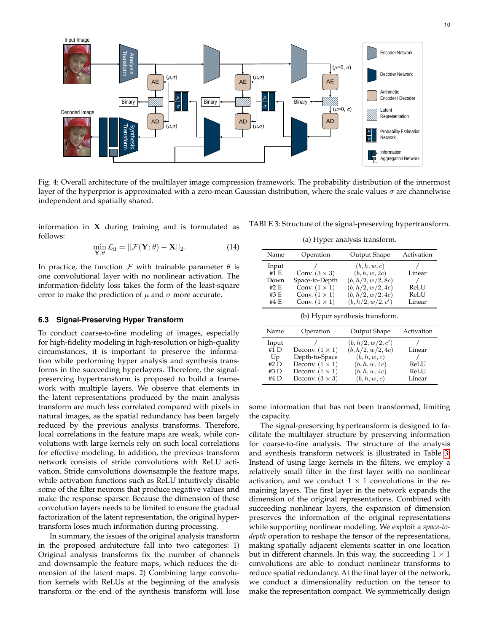<span id="page-9-0"></span>

Fig. 4: Overall architecture of the multilayer image compression framework. The probability distribution of the innermost layer of the hyperprior is approximated with a zero-mean Gaussian distribution, where the scale values  $\sigma$  are channelwise independent and spatially shared.

information in  $X$  during training and is formulated as follows:

$$
\min_{\mathbf{Y},\theta} \mathcal{L}_{\text{if}} = ||\mathcal{F}(\mathbf{Y};\theta) - \mathbf{X}||_2.
$$
 (14)

In practice, the function  $\mathcal F$  with trainable parameter  $\theta$  is one convolutional layer with no nonlinear activation. The information-fidelity loss takes the form of the least-square error to make the prediction of  $\mu$  and  $\sigma$  more accurate.

#### **6.3 Signal-Preserving Hyper Transform**

To conduct coarse-to-fine modeling of images, especially for high-fidelity modeling in high-resolution or high-quality circumstances, it is important to preserve the information while performing hyper analysis and synthesis transforms in the succeeding hyperlayers. Therefore, the signalpreserving hypertransform is proposed to build a framework with multiple layers. We observe that elements in the latent representations produced by the main analysis transform are much less correlated compared with pixels in natural images, as the spatial redundancy has been largely reduced by the previous analysis transforms. Therefore, local correlations in the feature maps are weak, while convolutions with large kernels rely on such local correlations for effective modeling. In addition, the previous transform network consists of stride convolutions with ReLU activation. Stride convolutions downsample the feature maps, while activation functions such as ReLU intuitively disable some of the filter neurons that produce negative values and make the response sparser. Because the dimension of these convolution layers needs to be limited to ensure the gradual factorization of the latent representation, the original hypertransform loses much information during processing.

In summary, the issues of the original analysis transform in the proposed architecture fall into two categories: 1) Original analysis transforms fix the number of channels and downsample the feature maps, which reduces the dimension of the latent maps. 2) Combining large convolution kernels with ReLUs at the beginning of the analysis transform or the end of the synthesis transform will lose

<span id="page-9-1"></span>TABLE 3: Structure of the signal-preserving hypertransform.

|  |  |  |  |  | (a) Hyper analysis transform. |
|--|--|--|--|--|-------------------------------|
|--|--|--|--|--|-------------------------------|

| Name                           | Operation            | Output Shape                  | Activation |  |  |
|--------------------------------|----------------------|-------------------------------|------------|--|--|
| Input<br>$#1$ F.               | Conv. $(3 \times 3)$ | (b, h, w, c)<br>(b, h, w, 2c) | Linear     |  |  |
|                                |                      |                               |            |  |  |
| Down                           | Space-to-Depth       | (b, h/2, w/2, 8c)             |            |  |  |
| #2 E                           | Conv. $(1 \times 1)$ | (b, h/2, w/2, 4c)             | ReLU       |  |  |
| #3 E                           | Conv. $(1 \times 1)$ | (b, h/2, w/2, 4c)             | ReLU       |  |  |
| #4 E                           | Conv. $(1 \times 1)$ | (b, h/2, w/2, c')             | Linear     |  |  |
| (b) Hyper synthesis transform. |                      |                               |            |  |  |

| Name        | Operation              | Output Shape      | Activation |
|-------------|------------------------|-------------------|------------|
| Input       |                        | (b, h/2, w/2, c') |            |
| $#1$ D      | Deconv. $(1 \times 1)$ | (b, h/2, w/2, 4c) | Linear     |
| Up          | Depth-to-Space         | (b, h, w, c)      |            |
| #2 $\Gamma$ | Deconv. $(1 \times 1)$ | (b, h, w, 4c)     | ReLU       |
| #3 $D$      | Deconv. $(1 \times 1)$ | (b, h, w, 4c)     | ReLU       |
| #4 D        | Deconv. $(3 \times 3)$ | (b, h, w, c)      | Linear     |

some information that has not been transformed, limiting the capacity.

The signal-preserving hypertransform is designed to facilitate the multilayer structure by preserving information for coarse-to-fine analysis. The structure of the analysis and synthesis transform network is illustrated in Table [3.](#page-9-1) Instead of using large kernels in the filters, we employ a relatively small filter in the first layer with no nonlinear activation, and we conduct  $1 \times 1$  convolutions in the remaining layers. The first layer in the network expands the dimension of the original representations. Combined with succeeding nonlinear layers, the expansion of dimension preserves the information of the original representations while supporting nonlinear modeling. We exploit a *space-todepth* operation to reshape the tensor of the representations, making spatially adjacent elements scatter in one location but in different channels. In this way, the succeeding  $1 \times 1$ convolutions are able to conduct nonlinear transforms to reduce spatial redundancy. At the final layer of the network, we conduct a dimensionality reduction on the tensor to make the representation compact. We symmetrically design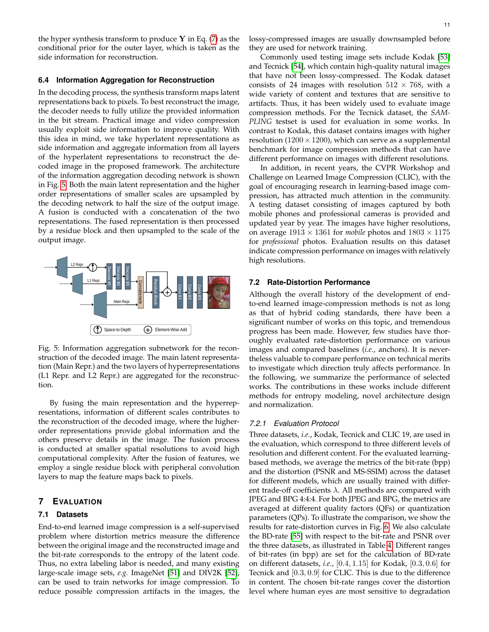the hyper synthesis transform to produce  $Y$  in Eq. [\(7\)](#page-8-0) as the conditional prior for the outer layer, which is taken as the side information for reconstruction.

#### **6.4 Information Aggregation for Reconstruction**

In the decoding process, the synthesis transform maps latent representations back to pixels. To best reconstruct the image, the decoder needs to fully utilize the provided information in the bit stream. Practical image and video compression usually exploit side information to improve quality. With this idea in mind, we take hyperlatent representations as side information and aggregate information from all layers of the hyperlatent representations to reconstruct the decoded image in the proposed framework. The architecture of the information aggregation decoding network is shown in Fig. [5.](#page-10-2) Both the main latent representation and the higher order representations of smaller scales are upsampled by the decoding network to half the size of the output image. A fusion is conducted with a concatenation of the two representations. The fused representation is then processed by a residue block and then upsampled to the scale of the output image.

<span id="page-10-2"></span>

Fig. 5: Information aggregation subnetwork for the reconstruction of the decoded image. The main latent representation (Main Repr.) and the two layers of hyperrepresentations (L1 Repr. and L2 Repr.) are aggregated for the reconstruction.

By fusing the main representation and the hyperrepresentations, information of different scales contributes to the reconstruction of the decoded image, where the higherorder representations provide global information and the others preserve details in the image. The fusion process is conducted at smaller spatial resolutions to avoid high computational complexity. After the fusion of features, we employ a single residue block with peripheral convolution layers to map the feature maps back to pixels.

# <span id="page-10-1"></span>**7 EVALUATION**

# **7.1 Datasets**

End-to-end learned image compression is a self-supervised problem where distortion metrics measure the difference between the original image and the reconstructed image and the bit-rate corresponds to the entropy of the latent code. Thus, no extra labeling labor is needed, and many existing large-scale image sets, *e.g.* ImageNet [\[51\]](#page-14-37) and DIV2K [\[52\]](#page-14-38), can be used to train networks for image compression. To reduce possible compression artifacts in the images, the lossy-compressed images are usually downsampled before they are used for network training.

Commonly used testing image sets include Kodak [\[53\]](#page-14-39) and Tecnick [\[54\]](#page-14-40), which contain high-quality natural images that have not been lossy-compressed. The Kodak dataset consists of 24 images with resolution  $512 \times 768$ , with a wide variety of content and textures that are sensitive to artifacts. Thus, it has been widely used to evaluate image compression methods. For the Tecnick dataset, the *SAM-PLING* testset is used for evaluation in some works. In contrast to Kodak, this dataset contains images with higher resolution ( $1200 \times 1200$ ), which can serve as a supplemental benchmark for image compression methods that can have different performance on images with different resolutions.

In addition, in recent years, the CVPR Workshop and Challenge on Learned Image Compression (CLIC), with the goal of encouraging research in learning-based image compression, has attracted much attention in the community. A testing dataset consisting of images captured by both mobile phones and professional cameras is provided and updated year by year. The images have higher resolutions, on average  $1913 \times 1361$  for *mobile* photos and  $1803 \times 1175$ for *professional* photos. Evaluation results on this dataset indicate compression performance on images with relatively high resolutions.

## <span id="page-10-0"></span>**7.2 Rate-Distortion Performance**

Although the overall history of the development of endto-end learned image-compression methods is not as long as that of hybrid coding standards, there have been a significant number of works on this topic, and tremendous progress has been made. However, few studies have thoroughly evaluated rate-distortion performance on various images and compared baselines (*i.e.*, anchors). It is nevertheless valuable to compare performance on technical merits to investigate which direction truly affects performance. In the following, we summarize the performance of selected works. The contributions in these works include different methods for entropy modeling, novel architecture design and normalization.

#### *7.2.1 Evaluation Protocol*

Three datasets, *i.e.*, Kodak, Tecnick and CLIC 19, are used in the evaluation, which correspond to three different levels of resolution and different content. For the evaluated learningbased methods, we average the metrics of the bit-rate (bpp) and the distortion (PSNR and MS-SSIM) across the dataset for different models, which are usually trained with different trade-off coefficients  $\lambda$ . All methods are compared with JPEG and BPG 4:4:4. For both JPEG and BPG, the metrics are averaged at different quality factors (QFs) or quantization parameters (QPs). To illustrate the comparison, we show the results for rate-distortion curves in Fig. [6.](#page-12-0) We also calculate the BD-rate [\[55\]](#page-14-41) with respect to the bit-rate and PSNR over the three datasets, as illustrated in Table [4.](#page-11-1) Different ranges of bit-rates (in bpp) are set for the calculation of BD-rate on different datasets, *i.e.*, [0.4, 1.15] for Kodak, [0.3, 0.6] for Tecnick and [0.3, 0.9] for CLIC. This is due to the difference in content. The chosen bit-rate ranges cover the distortion level where human eyes are most sensitive to degradation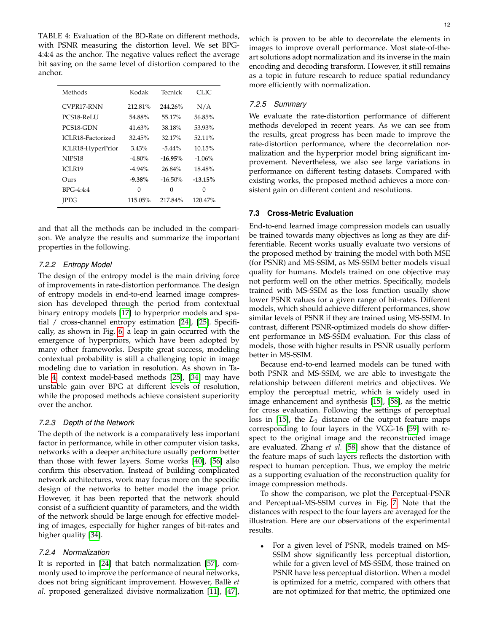<span id="page-11-1"></span>TABLE 4: Evaluation of the BD-Rate on different methods, with PSNR measuring the distortion level. We set BPG-4:4:4 as the anchor. The negative values reflect the average bit saving on the same level of distortion compared to the anchor.

| Methods            | Kodak     | Tecnick    | CLIC.     |
|--------------------|-----------|------------|-----------|
| CVPR17-RNN         | 212.81%   | 244.26%    | N/A       |
| PCS18-ReLU         | 54.88%    | 55.17%     | 56.85%    |
| PCS18-GDN          | 41.63%    | 38.18%     | 53.93%    |
| ICLR18-Factorized  | 32.45%    | 32.17%     | 52.11%    |
| ICLR18-HyperPrior  | 3.43%     | $-5.44\%$  | 10.15%    |
| NIPS <sub>18</sub> | $-4.80\%$ | $-16.95%$  | $-1.06%$  |
| ICLR19             | $-4.94\%$ | 26.84%     | 18.48%    |
| Ours               | $-9.38\%$ | $-16.50\%$ | $-13.15%$ |
| $BPG-4:4:4$        | 0         | 0          | 0         |
| <b>IPEG</b>        | 115.05%   | 217.84%    | 120.47%   |

and that all the methods can be included in the comparison. We analyze the results and summarize the important properties in the following.

# *7.2.2 Entropy Model*

The design of the entropy model is the main driving force of improvements in rate-distortion performance. The design of entropy models in end-to-end learned image compression has developed through the period from contextual binary entropy models [\[17\]](#page-14-4) to hyperprior models and spatial / cross-channel entropy estimation [\[24\]](#page-14-5), [\[25\]](#page-14-12). Specifically, as shown in Fig. [6,](#page-12-0) a leap in gain occurred with the emergence of hyperpriors, which have been adopted by many other frameworks. Despite great success, modeling contextual probability is still a challenging topic in image modeling due to variation in resolution. As shown in Table [4,](#page-11-1) context model-based methods [\[25\]](#page-14-12), [\[34\]](#page-14-21) may have unstable gain over BPG at different levels of resolution, while the proposed methods achieve consistent superiority over the anchor.

## *7.2.3 Depth of the Network*

The depth of the network is a comparatively less important factor in performance, while in other computer vision tasks, networks with a deeper architecture usually perform better than those with fewer layers. Some works [\[40\]](#page-14-26), [\[56\]](#page-14-42) also confirm this observation. Instead of building complicated network architectures, work may focus more on the specific design of the networks to better model the image prior. However, it has been reported that the network should consist of a sufficient quantity of parameters, and the width of the network should be large enough for effective modeling of images, especially for higher ranges of bit-rates and higher quality [\[34\]](#page-14-21).

# *7.2.4 Normalization*

It is reported in [\[24\]](#page-14-5) that batch normalization [\[57\]](#page-14-43), commonly used to improve the performance of neural networks, does not bring significant improvement. However, Balle` *et al.* proposed generalized divisive normalization [\[11\]](#page-13-10), [\[47\]](#page-14-33),

which is proven to be able to decorrelate the elements in images to improve overall performance. Most state-of-theart solutions adopt normalization and its inverse in the main encoding and decoding transform. However, it still remains as a topic in future research to reduce spatial redundancy more efficiently with normalization.

#### *7.2.5 Summary*

We evaluate the rate-distortion performance of different methods developed in recent years. As we can see from the results, great progress has been made to improve the rate-distortion performance, where the decorrelation normalization and the hyperprior model bring significant improvement. Nevertheless, we also see large variations in performance on different testing datasets. Compared with existing works, the proposed method achieves a more consistent gain on different content and resolutions.

# <span id="page-11-0"></span>**7.3 Cross-Metric Evaluation**

End-to-end learned image compression models can usually be trained towards many objectives as long as they are differentiable. Recent works usually evaluate two versions of the proposed method by training the model with both MSE (for PSNR) and MS-SSIM, as MS-SSIM better models visual quality for humans. Models trained on one objective may not perform well on the other metrics. Specifically, models trained with MS-SSIM as the loss function usually show lower PSNR values for a given range of bit-rates. Different models, which should achieve different performances, show similar levels of PSNR if they are trained using MS-SSIM. In contrast, different PSNR-optimized models do show different performance in MS-SSIM evaluation. For this class of models, those with higher results in PSNR usually perform better in MS-SSIM.

Because end-to-end learned models can be tuned with both PSNR and MS-SSIM, we are able to investigate the relationship between different metrics and objectives. We employ the perceptual metric, which is widely used in image enhancement and synthesis [\[15\]](#page-14-1), [\[58\]](#page-14-44), as the metric for cross evaluation. Following the settings of perceptual loss in [\[15\]](#page-14-1), the  $L_2$  distance of the output feature maps corresponding to four layers in the VGG-16 [\[59\]](#page-14-45) with respect to the original image and the reconstructed image are evaluated. Zhang *et al.* [\[58\]](#page-14-44) show that the distance of the feature maps of such layers reflects the distortion with respect to human perception. Thus, we employ the metric as a supporting evaluation of the reconstruction quality for image compression methods.

To show the comparison, we plot the Perceptual-PSNR and Perceptual-MS-SSIM curves in Fig. [7.](#page-13-14) Note that the distances with respect to the four layers are averaged for the illustration. Here are our observations of the experimental results.

• For a given level of PSNR, models trained on MS-SSIM show significantly less perceptual distortion, while for a given level of MS-SSIM, those trained on PSNR have less perceptual distortion. When a model is optimized for a metric, compared with others that are not optimized for that metric, the optimized one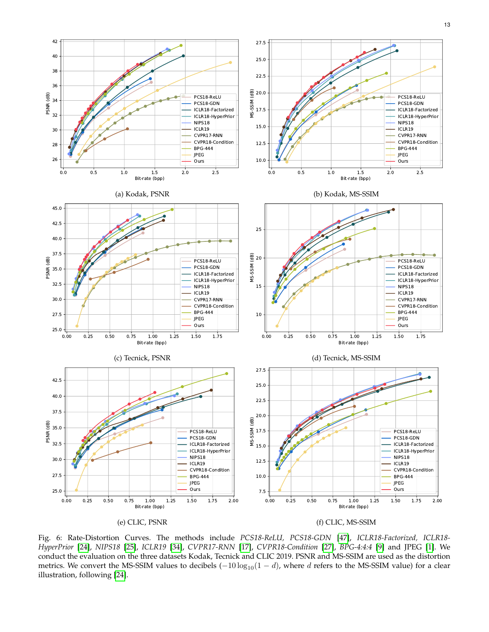<span id="page-12-0"></span>



Bit-rate (bpp)

(a) Kodak, PSNR

40.0 42.5 45.0

PSNR (dB)

Fig. 6: Rate-Distortion Curves. The methods include *PCS18-ReLU, PCS18-GDN* [\[47\]](#page-14-33), *ICLR18-Factorized, ICLR18- HyperPrior* [\[24\]](#page-14-5), *NIPS18* [\[25\]](#page-14-12), *ICLR19* [\[34\]](#page-14-21), *CVPR17-RNN* [\[17\]](#page-14-4), *CVPR18-Condition* [\[27\]](#page-14-14), *BPG-4:4:4* [\[9\]](#page-13-8) and JPEG [\[1\]](#page-13-0). We conduct the evaluation on the three datasets Kodak, Tecnick and CLIC 2019. PSNR and MS-SSIM are used as the distortion metrics. We convert the MS-SSIM values to decibels  $(-10 \log_{10}(1-d))$ , where d refers to the MS-SSIM value) for a clear illustration, following [\[24\]](#page-14-5).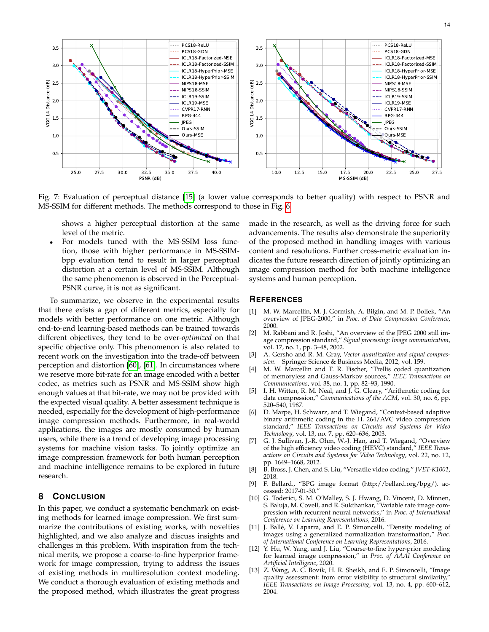<span id="page-13-14"></span>

Fig. 7: Evaluation of perceptual distance [\[15\]](#page-14-1) (a lower value corresponds to better quality) with respect to PSNR and MS-SSIM for different methods. The methods correspond to those in Fig. [6.](#page-12-0)

shows a higher perceptual distortion at the same level of the metric.

• For models tuned with the MS-SSIM loss function, those with higher performance in MS-SSIMbpp evaluation tend to result in larger perceptual distortion at a certain level of MS-SSIM. Although the same phenomenon is observed in the Perceptual-PSNR curve, it is not as significant.

To summarize, we observe in the experimental results that there exists a gap of different metrics, especially for models with better performance on one metric. Although end-to-end learning-based methods can be trained towards different objectives, they tend to be over-*optimized* on that specific objective only. This phenomenon is also related to recent work on the investigation into the trade-off between perception and distortion [\[60\]](#page-14-46), [\[61\]](#page-14-47). In circumstances where we reserve more bit-rate for an image encoded with a better codec, as metrics such as PSNR and MS-SSIM show high enough values at that bit-rate, we may not be provided with the expected visual quality. A better assessment technique is needed, especially for the development of high-performance image compression methods. Furthermore, in real-world applications, the images are mostly consumed by human users, while there is a trend of developing image processing systems for machine vision tasks. To jointly optimize an image compression framework for both human perception and machine intelligence remains to be explored in future research.

# <span id="page-13-12"></span>**8 CONCLUSION**

In this paper, we conduct a systematic benchmark on existing methods for learned image compression. We first summarize the contributions of existing works, with novelties highlighted, and we also analyze and discuss insights and challenges in this problem. With inspiration from the technical merits, we propose a coarse-to-fine hyperprior framework for image compression, trying to address the issues of existing methods in multiresolution context modeling. We conduct a thorough evaluation of existing methods and the proposed method, which illustrates the great progress made in the research, as well as the driving force for such advancements. The results also demonstrate the superiority of the proposed method in handling images with various content and resolutions. Further cross-metric evaluation indicates the future research direction of jointly optimizing an image compression method for both machine intelligence systems and human perception.

# **REFERENCES**

- <span id="page-13-0"></span>[1] M. W. Marcellin, M. J. Gormish, A. Bilgin, and M. P. Boliek, "An overview of JPEG-2000," in *Proc. of Data Compression Conference*, 2000.
- <span id="page-13-1"></span>[2] M. Rabbani and R. Joshi, "An overview of the JPEG 2000 still image compression standard," *Signal processing: Image communication*, vol. 17, no. 1, pp. 3–48, 2002.
- <span id="page-13-2"></span>[3] A. Gersho and R. M. Gray, *Vector quantization and signal compression*. Springer Science & Business Media, 2012, vol. 159.
- <span id="page-13-3"></span>[4] M. W. Marcellin and T. R. Fischer, "Trellis coded quantization of memoryless and Gauss-Markov sources," *IEEE Transactions on Communications*, vol. 38, no. 1, pp. 82–93, 1990.
- <span id="page-13-4"></span>[5] I. H. Witten, R. M. Neal, and J. G. Cleary, "Arithmetic coding for data compression," *Communications of the ACM*, vol. 30, no. 6, pp. 520–540, 1987.
- <span id="page-13-5"></span>[6] D. Marpe, H. Schwarz, and T. Wiegand, "Context-based adaptive binary arithmetic coding in the H. 264/AVC video compression standard," *IEEE Transactions on Circuits and Systems for Video Technology*, vol. 13, no. 7, pp. 620–636, 2003.
- <span id="page-13-6"></span>[7] G. J. Sullivan, J.-R. Ohm, W.-J. Han, and T. Wiegand, "Overview of the high efficiency video coding (HEVC) standard," *IEEE Transactions on Circuits and Systems for Video Technology*, vol. 22, no. 12, pp. 1649–1668, 2012.
- <span id="page-13-7"></span>[8] B. Bross, J. Chen, and S. Liu, "Versatile video coding," *JVET-K1001*, 2018.
- <span id="page-13-8"></span>[9] F. Bellard., "BPG image format (http://bellard.org/bpg/). accessed: 2017-01-30."
- <span id="page-13-9"></span>[10] G. Toderici, S. M. O'Malley, S. J. Hwang, D. Vincent, D. Minnen, S. Baluja, M. Covell, and R. Sukthankar, "Variable rate image compression with recurrent neural networks," in *Proc. of International Conference on Learning Representations*, 2016.
- <span id="page-13-10"></span>[11] J. Ballé, V. Laparra, and E. P. Simoncelli, "Density modeling of images using a generalized normalization transformation," *Proc. of International Conference on Learning Representations*, 2016.
- <span id="page-13-11"></span>[12] Y. Hu, W. Yang, and J. Liu, "Coarse-to-fine hyper-prior modeling for learned image compression," in *Proc. of AAAI Conference on Artificial Intelligenc*, 2020.
- <span id="page-13-13"></span>[13] Z. Wang, A. C. Bovik, H. R. Sheikh, and E. P. Simoncelli, "Image quality assessment: from error visibility to structural similarity, *IEEE Transactions on Image Processing*, vol. 13, no. 4, pp. 600–612, 2004.